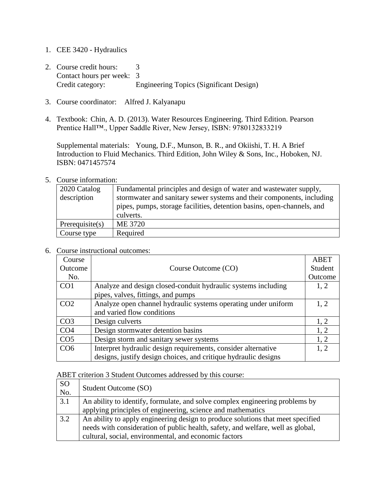- 1. CEE 3420 Hydraulics
- 2. Course credit hours: 3 Contact hours per week: 3 Credit category: Engineering Topics (Significant Design)
- 3. Course coordinator: Alfred J. Kalyanapu
- 4. Textbook: Chin, A. D. (2013). Water Resources Engineering. Third Edition. Pearson Prentice Hall™., Upper Saddle River, New Jersey, ISBN: 9780132833219

Supplemental materials: Young, D.F., Munson, B. R., and Okiishi, T. H. A Brief Introduction to Fluid Mechanics. Third Edition, John Wiley & Sons, Inc., Hoboken, NJ. ISBN: 0471457574

## 5. Course information:

| 2020 Catalog<br>description | Fundamental principles and design of water and wastewater supply,<br>stormwater and sanitary sewer systems and their components, including<br>pipes, pumps, storage facilities, detention basins, open-channels, and |
|-----------------------------|----------------------------------------------------------------------------------------------------------------------------------------------------------------------------------------------------------------------|
|                             | culverts.                                                                                                                                                                                                            |
| Prerequisite $(s)$          | ME 3720                                                                                                                                                                                                              |
| Course type                 | Required                                                                                                                                                                                                             |

## 6. Course instructional outcomes:

| Course          |                                                                 | <b>ABET</b> |
|-----------------|-----------------------------------------------------------------|-------------|
| Outcome         | Course Outcome (CO)                                             | Student     |
| No.             |                                                                 | Outcome     |
| CO <sub>1</sub> | Analyze and design closed-conduit hydraulic systems including   | 1, 2        |
|                 | pipes, valves, fittings, and pumps                              |             |
| CO <sub>2</sub> | Analyze open channel hydraulic systems operating under uniform  | 1, 2        |
|                 | and varied flow conditions                                      |             |
| CO <sub>3</sub> | Design culverts                                                 | 1, 2        |
| CO <sub>4</sub> | Design stormwater detention basins                              | 1, 2        |
| CO <sub>5</sub> | Design storm and sanitary sewer systems                         | 1, 2        |
| CO <sub>6</sub> | Interpret hydraulic design requirements, consider alternative   | 1, 2        |
|                 | designs, justify design choices, and critique hydraulic designs |             |

ABET criterion 3 Student Outcomes addressed by this course:

| <sub>SO</sub><br>No. | Student Outcome (SO)                                                            |
|----------------------|---------------------------------------------------------------------------------|
| 3.1                  | An ability to identify, formulate, and solve complex engineering problems by    |
|                      | applying principles of engineering, science and mathematics                     |
| 3.2                  | An ability to apply engineering design to produce solutions that meet specified |
|                      | needs with consideration of public health, safety, and welfare, well as global, |
|                      | cultural, social, environmental, and economic factors                           |